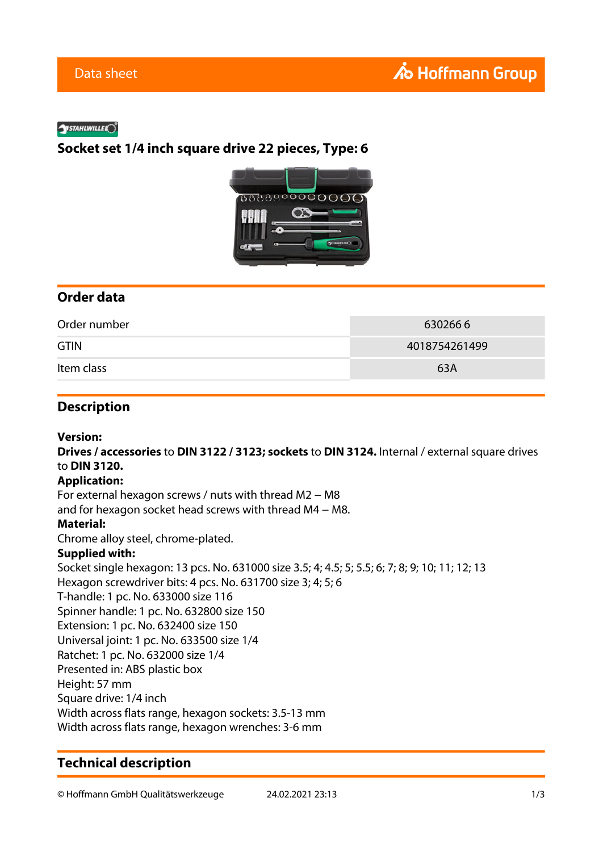#### **SYSTAHLWILLEL**O

## **Socket set 1/4 inch square drive 22 pieces, Type: 6**



## **Order data**

| Order number | 6302666       |
|--------------|---------------|
| <b>GTIN</b>  | 4018754261499 |
| Item class   | 63A           |

## **Description**

**Version:**

**Drives / accessories** to **DIN 3122 / 3123; sockets** to **DIN 3124.** Internal / external square drives to **DIN 3120.**

#### **Application:**

For external hexagon screws / nuts with thread M2 − M8

and for hexagon socket head screws with thread M4 − M8.

### **Material:**

Chrome alloy steel, chrome-plated.

#### **Supplied with:**

Socket single hexagon: 13 pcs. No. 631000 size 3.5; 4; 4.5; 5; 5.5; 6; 7; 8; 9; 10; 11; 12; 13 Hexagon screwdriver bits: 4 pcs. No. 631700 size 3; 4; 5; 6 T-handle: 1 pc. No. 633000 size 116 Spinner handle: 1 pc. No. 632800 size 150 Extension: 1 pc. No. 632400 size 150 Universal joint: 1 pc. No. 633500 size 1/4 Ratchet: 1 pc. No. 632000 size 1/4 Presented in: ABS plastic box Height: 57 mm Square drive: 1/4 inch Width across flats range, hexagon sockets: 3.5-13 mm Width across flats range, hexagon wrenches: 3-6 mm

## **Technical description**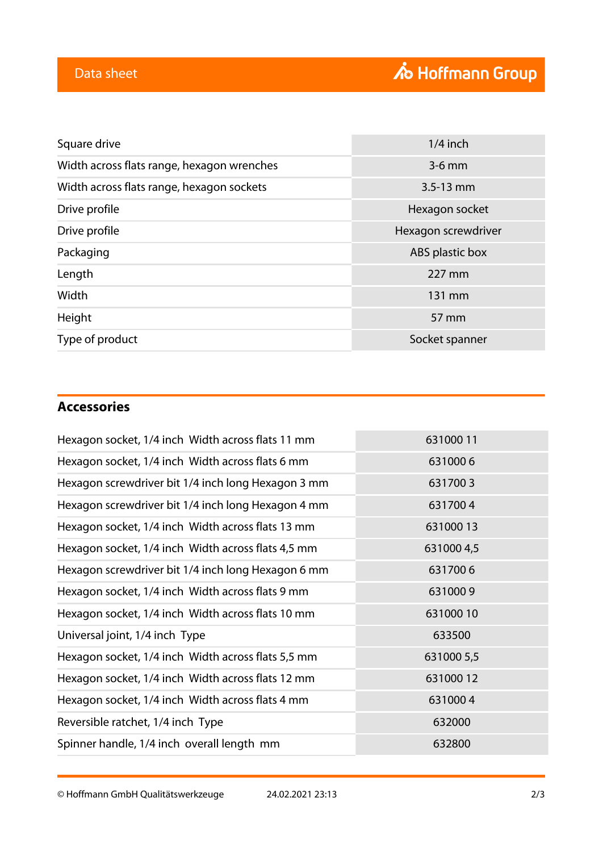| Square drive                               | $1/4$ inch          |
|--------------------------------------------|---------------------|
| Width across flats range, hexagon wrenches | $3-6$ mm            |
| Width across flats range, hexagon sockets  | $3.5 - 13$ mm       |
| Drive profile                              | Hexagon socket      |
| Drive profile                              | Hexagon screwdriver |
| Packaging                                  | ABS plastic box     |
| Length                                     | 227 mm              |
| Width                                      | 131 mm              |
| Height                                     | 57 mm               |
| Type of product                            | Socket spanner      |

# **Accessories**

| Hexagon socket, 1/4 inch Width across flats 11 mm  | 63100011   |
|----------------------------------------------------|------------|
| Hexagon socket, 1/4 inch Width across flats 6 mm   | 6310006    |
| Hexagon screwdriver bit 1/4 inch long Hexagon 3 mm | 6317003    |
| Hexagon screwdriver bit 1/4 inch long Hexagon 4 mm | 6317004    |
| Hexagon socket, 1/4 inch Width across flats 13 mm  | 63100013   |
| Hexagon socket, 1/4 inch Width across flats 4,5 mm | 6310004,5  |
| Hexagon screwdriver bit 1/4 inch long Hexagon 6 mm | 6317006    |
| Hexagon socket, 1/4 inch Width across flats 9 mm   | 6310009    |
| Hexagon socket, 1/4 inch Width across flats 10 mm  | 63100010   |
| Universal joint, 1/4 inch Type                     | 633500     |
| Hexagon socket, 1/4 inch Width across flats 5,5 mm | 631000 5,5 |
| Hexagon socket, 1/4 inch Width across flats 12 mm  | 63100012   |
| Hexagon socket, 1/4 inch Width across flats 4 mm   | 6310004    |
| Reversible ratchet, 1/4 inch Type                  | 632000     |
| Spinner handle, 1/4 inch overall length mm         | 632800     |